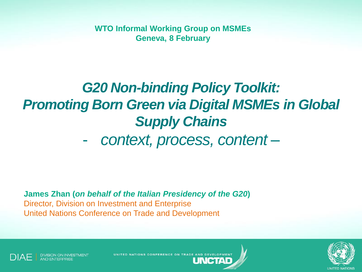**WTO Informal Working Group on MSMEs Geneva, 8 February**

# *G20 Non-binding Policy Toolkit: Promoting Born Green via Digital MSMEs in Global Supply Chains*

- *context, process, content –*

**James Zhan (***on behalf of the Italian Presidency of the G20***)** Director, Division on Investment and Enterprise United Nations Conference on Trade and Development

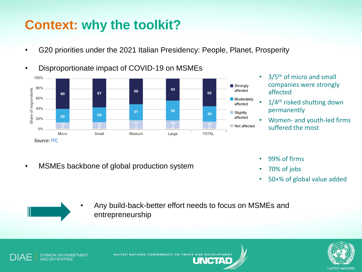## **Context: why the toolkit?**

• G20 priorities under the 2021 Italian Presidency: People, Planet, Prosperity



- 3/5<sup>th</sup> of micro and small companies were strongly affected
- 1/4<sup>th</sup> risked shutting down permanently
- Women- and youth-led firms suffered the most

• MSMEs backbone of global production system

- 99% of firms
- 70% of jobs
- 50+% of global value added

entrepreneurship



• Any build-back-better effort needs to focus on MSMEs and

NGTYA



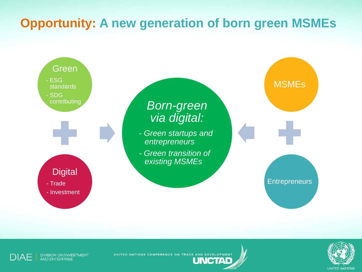#### **Opportunity: A new generation of born green MSMEs**





DIVISION ON INVESTMENT<br>AND ENTERPRISE **DIAF** 

UNITED NATIONS CONFERENCE ON TRADE AND DEVELOPMENT

**UNCTAD**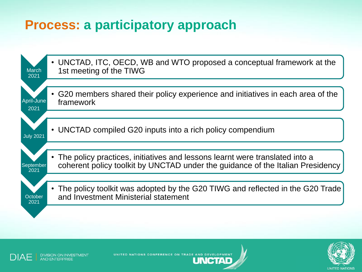#### **Process: a participatory approach**





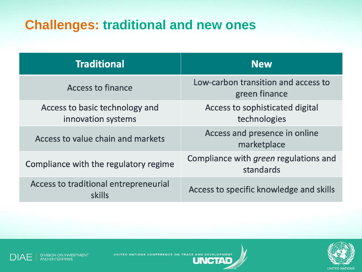## **Challenges: traditional and new ones**

| <b>Traditional</b>                                   | <b>New</b>                                                |
|------------------------------------------------------|-----------------------------------------------------------|
| <b>Access to finance</b>                             | Low-carbon transition and access to<br>green finance      |
| Access to basic technology and<br>innovation systems | Access to sophisticated digital<br>technologies           |
| Access to value chain and markets                    | Access and presence in online<br>marketplace              |
| Compliance with the regulatory regime                | Compliance with <i>green</i> regulations and<br>standards |
| Access to traditional entrepreneurial<br>skills      | Access to specific knowledge and skills                   |



DIVISION ON INVESTMENT<br>AND ENTERPRISE **DIAE**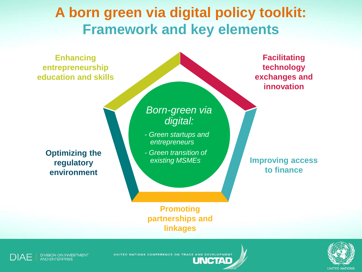## **A born green via digital policy toolkit: Framework and key elements**

**Enhancing entrepreneurship education and skills exchanges and Improving access Promoting Optimizing the regulatory environment** *Born-green via digital: - Green startups and entrepreneurs - Green transition of existing MSMEs*

**to finance**

**Facilitating technology** 

**innovation**

**partnerships and linkages**

**UNCTAD** 



UNITED NATIONS CONFERENCE ON TRADE AND DEVELOPMENT

**UNITED NATIONS**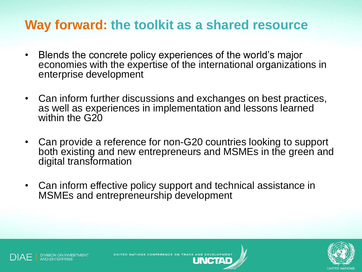#### **Way forward: the toolkit as a shared resource**

- Blends the concrete policy experiences of the world's major economies with the expertise of the international organizations in enterprise development
- Can inform further discussions and exchanges on best practices, as well as experiences in implementation and lessons learned within the G<sub>20</sub>
- Can provide a reference for non-G20 countries looking to support both existing and new entrepreneurs and MSMEs in the green and digital transformation
- Can inform effective policy support and technical assistance in MSMEs and entrepreneurship development